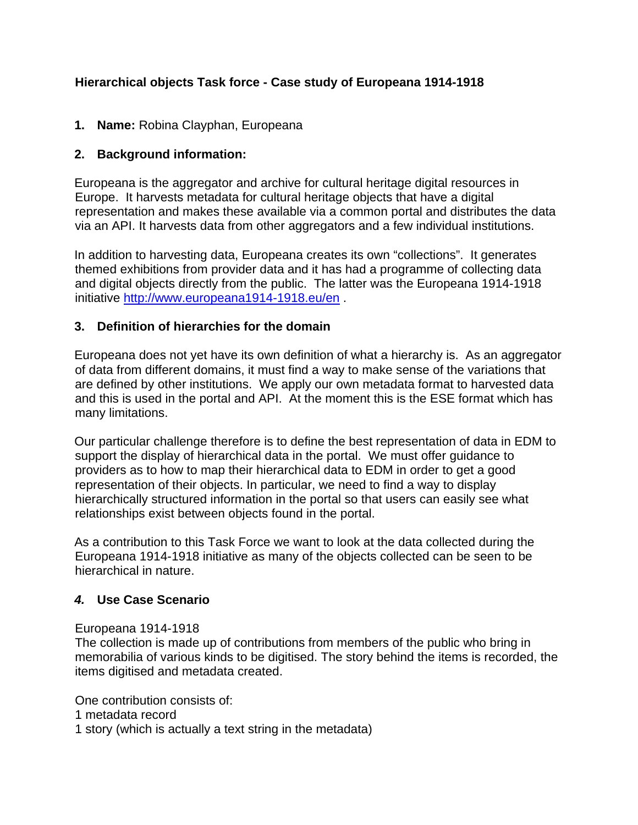# **Hierarchical objects Task force - Case study of Europeana 1914-1918**

### **1. Name:** Robina Clayphan, Europeana

### **2. Background information:**

Europeana is the aggregator and archive for cultural heritage digital resources in Europe. It harvests metadata for cultural heritage objects that have a digital representation and makes these available via a common portal and distributes the data via an API. It harvests data from other aggregators and a few individual institutions.

In addition to harvesting data, Europeana creates its own "collections". It generates themed exhibitions from provider data and it has had a programme of collecting data and digital objects directly from the public. The latter was the Europeana 1914-1918 initiative <http://www.europeana1914-1918.eu/en> .

### **3. Definition of hierarchies for the domain**

Europeana does not yet have its own definition of what a hierarchy is. As an aggregator of data from different domains, it must find a way to make sense of the variations that are defined by other institutions. We apply our own metadata format to harvested data and this is used in the portal and API. At the moment this is the ESE format which has many limitations.

Our particular challenge therefore is to define the best representation of data in EDM to support the display of hierarchical data in the portal. We must offer guidance to providers as to how to map their hierarchical data to EDM in order to get a good representation of their objects. In particular, we need to find a way to display hierarchically structured information in the portal so that users can easily see what relationships exist between objects found in the portal.

As a contribution to this Task Force we want to look at the data collected during the Europeana 1914-1918 initiative as many of the objects collected can be seen to be hierarchical in nature.

## *4.* **Use Case Scenario**

### Europeana 1914-1918

The collection is made up of contributions from members of the public who bring in memorabilia of various kinds to be digitised. The story behind the items is recorded, the items digitised and metadata created.

One contribution consists of: 1 metadata record 1 story (which is actually a text string in the metadata)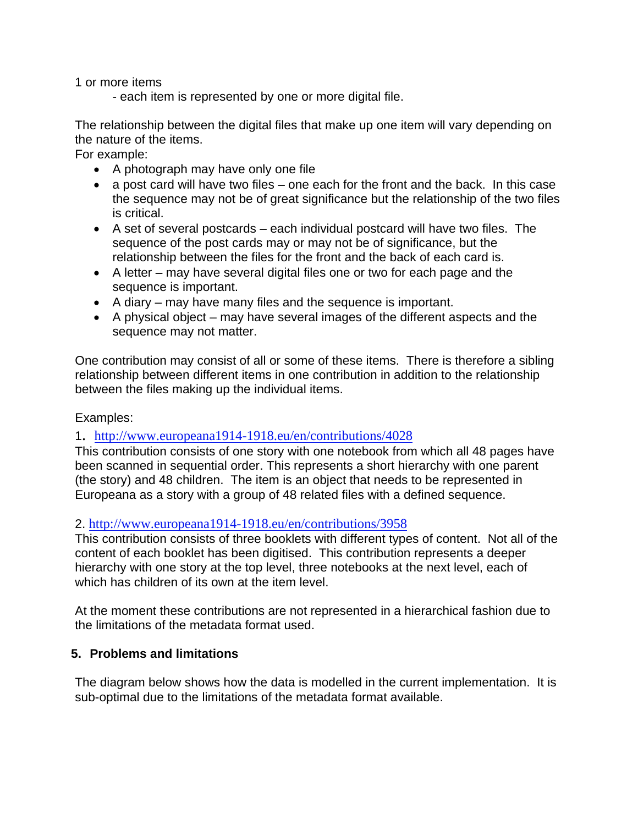1 or more items

- each item is represented by one or more digital file.

The relationship between the digital files that make up one item will vary depending on the nature of the items.

For example:

- A photograph may have only one file
- a post card will have two files one each for the front and the back. In this case the sequence may not be of great significance but the relationship of the two files is critical.
- A set of several postcards each individual postcard will have two files. The sequence of the post cards may or may not be of significance, but the relationship between the files for the front and the back of each card is.
- A letter may have several digital files one or two for each page and the sequence is important.
- A diary may have many files and the sequence is important.
- A physical object may have several images of the different aspects and the sequence may not matter.

One contribution may consist of all or some of these items. There is therefore a sibling relationship between different items in one contribution in addition to the relationship between the files making up the individual items.

### Examples:

### 1. [http://www.europeana1914-1918.eu/en/contributions/4028](https://link.kb.nl/f5-w-687474703a2f2f3139322e38372e34312e3931$$/exchweb/bin/redir.asp?URL=http://www.europeana1914-1918.eu/en/contributions/4028)

This contribution consists of one story with one notebook from which all 48 pages have been scanned in sequential order. This represents a short hierarchy with one parent (the story) and 48 children. The item is an object that needs to be represented in Europeana as a story with a group of 48 related files with a defined sequence.

### 2. [http://www.europeana1914-1918.eu/en/contributions/3958](https://link.kb.nl/f5-w-687474703a2f2f3139322e38372e34312e3931$$/exchweb/bin/redir.asp?URL=http://www.europeana1914-1918.eu/en/contributions/3958)

This contribution consists of three booklets with different types of content. Not all of the content of each booklet has been digitised. This contribution represents a deeper hierarchy with one story at the top level, three notebooks at the next level, each of which has children of its own at the item level.

At the moment these contributions are not represented in a hierarchical fashion due to the limitations of the metadata format used.

# **5. Problems and limitations**

The diagram below shows how the data is modelled in the current implementation. It is sub-optimal due to the limitations of the metadata format available.